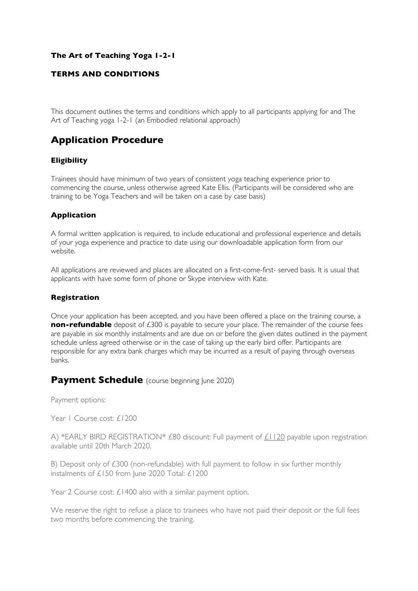### **The Art of Teaching Yoga 1-2-1**

### **TERMS AND CONDITIONS**

This document outlines the terms and conditions which apply to all participants applying for and The Art of Teaching yoga 1-2-1 (an Embodied relational approach)

## **Application Procedure**

#### **Eligibility**

Trainees should have minimum of two years of consistent yoga teaching experience prior to commencing the course, unless otherwise agreed Kate Ellis. (Participants will be considered who are training to be Yoga Teachers and will be taken on a case by case basis)

### **Application**

A formal written application is required, to include educational and professional experience and details of your yoga experience and practice to date using our downloadable application form from our website.

All applications are reviewed and places are allocated on a first-come-first- served basis. It is usual that applicants with have some form of phone or Skype interview with Kate.

#### **Registration**

Once your application has been accepted, and you have been offered a place on the training course, a **non-refundable** deposit of £300 is payable to secure your place. The remainder of the course fees are payable in six monthly instalments and are due on or before the given dates outlined in the payment schedule unless agreed otherwise or in the case of taking up the early bird offer. Participants are responsible for any extra bank charges which may be incurred as a result of paying through overseas banks.

### **Payment Schedule** (course beginning lune 2020)

Payment options:

Year | Course cost: £1200

A) \*EARLY BIRD REGISTRATION\* £80 discount: Full payment of £1120 payable upon registration available until 20th March 2020.

B) Deposit only of £300 (non-refundable) with full payment to follow in six further monthly instalments of £150 from June 2020 Total: £1200

Year 2 Course cost: £1400 also with a similar payment option.

We reserve the right to refuse a place to trainees who have not paid their deposit or the full fees two months before commencing the training.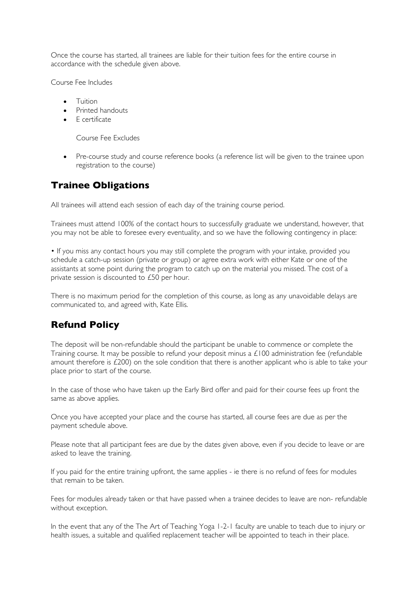Once the course has started, all trainees are liable for their tuition fees for the entire course in accordance with the schedule given above.

Course Fee Includes

- Tuition
- Printed handouts
- E certificate

Course Fee Excludes

• Pre-course study and course reference books (a reference list will be given to the trainee upon registration to the course)

### **Trainee Obligations**

All trainees will attend each session of each day of the training course period.

Trainees must attend 100% of the contact hours to successfully graduate we understand, however, that you may not be able to foresee every eventuality, and so we have the following contingency in place:

• If you miss any contact hours you may still complete the program with your intake, provided you schedule a catch-up session (private or group) or agree extra work with either Kate or one of the assistants at some point during the program to catch up on the material you missed. The cost of a private session is discounted to £50 per hour.

There is no maximum period for the completion of this course, as long as any unavoidable delays are communicated to, and agreed with, Kate Ellis.

### **Refund Policy**

The deposit will be non-refundable should the participant be unable to commence or complete the Training course. It may be possible to refund your deposit minus a £100 administration fee (refundable amount therefore is £200) on the sole condition that there is another applicant who is able to take your place prior to start of the course.

In the case of those who have taken up the Early Bird offer and paid for their course fees up front the same as above applies.

Once you have accepted your place and the course has started, all course fees are due as per the payment schedule above.

Please note that all participant fees are due by the dates given above, even if you decide to leave or are asked to leave the training.

If you paid for the entire training upfront, the same applies - ie there is no refund of fees for modules that remain to be taken.

Fees for modules already taken or that have passed when a trainee decides to leave are non- refundable without exception.

In the event that any of the The Art of Teaching Yoga 1-2-1 faculty are unable to teach due to injury or health issues, a suitable and qualified replacement teacher will be appointed to teach in their place.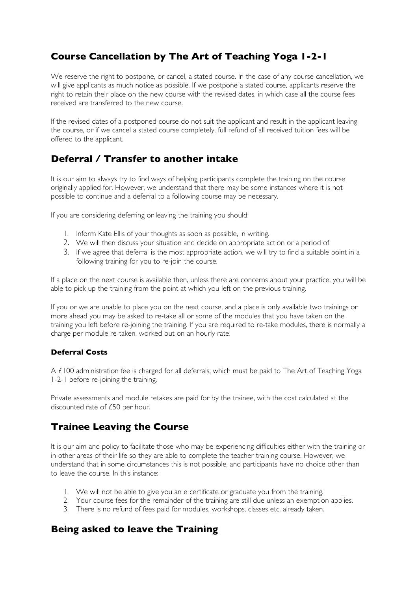# **Course Cancellation by The Art of Teaching Yoga 1-2-1**

We reserve the right to postpone, or cancel, a stated course. In the case of any course cancellation, we will give applicants as much notice as possible. If we postpone a stated course, applicants reserve the right to retain their place on the new course with the revised dates, in which case all the course fees received are transferred to the new course.

If the revised dates of a postponed course do not suit the applicant and result in the applicant leaving the course, or if we cancel a stated course completely, full refund of all received tuition fees will be offered to the applicant.

# **Deferral / Transfer to another intake**

It is our aim to always try to find ways of helping participants complete the training on the course originally applied for. However, we understand that there may be some instances where it is not possible to continue and a deferral to a following course may be necessary.

If you are considering deferring or leaving the training you should:

- 1. Inform Kate Ellis of your thoughts as soon as possible, in writing.
- 2. We will then discuss your situation and decide on appropriate action or a period of
- 3. If we agree that deferral is the most appropriate action, we will try to find a suitable point in a following training for you to re-join the course.

If a place on the next course is available then, unless there are concerns about your practice, you will be able to pick up the training from the point at which you left on the previous training.

If you or we are unable to place you on the next course, and a place is only available two trainings or more ahead you may be asked to re-take all or some of the modules that you have taken on the training you left before re-joining the training. If you are required to re-take modules, there is normally a charge per module re-taken, worked out on an hourly rate.

### **Deferral Costs**

A £100 administration fee is charged for all deferrals, which must be paid to The Art of Teaching Yoga 1-2-1 before re-joining the training.

Private assessments and module retakes are paid for by the trainee, with the cost calculated at the discounted rate of £50 per hour.

### **Trainee Leaving the Course**

It is our aim and policy to facilitate those who may be experiencing difficulties either with the training or in other areas of their life so they are able to complete the teacher training course. However, we understand that in some circumstances this is not possible, and participants have no choice other than to leave the course. In this instance:

- 1. We will not be able to give you an e certificate or graduate you from the training.
- 2. Your course fees for the remainder of the training are still due unless an exemption applies.
- 3. There is no refund of fees paid for modules, workshops, classes etc. already taken.

### **Being asked to leave the Training**